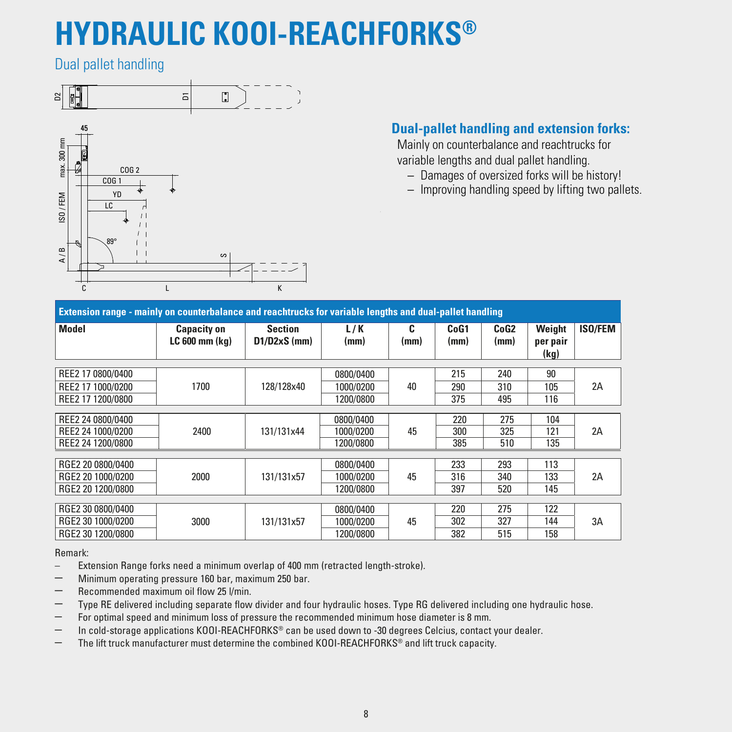# **HYDRAULIC KOOI-REACHFORKS®**

Dual pallet handling



### **Dual-pallet handling and extension forks:**

 Mainly on counterbalance and reachtrucks for variable lengths and dual pallet handling.

- Damages of oversized forks will be history!
- Improving handling speed by lifting two pallets.

| Extension range - mainly on counterbalance and reachtrucks for variable lengths and dual-pallet handling |                                          |                                  |             |           |              |              |                            |                |  |  |
|----------------------------------------------------------------------------------------------------------|------------------------------------------|----------------------------------|-------------|-----------|--------------|--------------|----------------------------|----------------|--|--|
| Model                                                                                                    | <b>Capacity on</b><br>$LC 600$ mm $(kq)$ | <b>Section</b><br>$D1/D2xS$ (mm) | L/K<br>(mm) | C<br>(mm) | CoG1<br>(mm) | CoG2<br>(mm) | Weight<br>per pair<br>(kg) | <b>ISO/FEM</b> |  |  |
| REE2 17 0800/0400                                                                                        |                                          |                                  | 0800/0400   |           | 215          | 240          | 90                         |                |  |  |
| REE2 17 1000/0200                                                                                        | 1700                                     | 128/128x40                       | 1000/0200   | 40        | 290          | 310          | 105                        | 2A             |  |  |
| REE2 17 1200/0800                                                                                        |                                          |                                  | 1200/0800   |           | 375          | 495          | 116                        |                |  |  |
|                                                                                                          |                                          |                                  |             |           |              |              |                            |                |  |  |
| REE2 24 0800/0400                                                                                        |                                          |                                  | 0800/0400   |           | 220          | 275          | 104                        |                |  |  |
| REE2 24 1000/0200                                                                                        | 2400                                     | 131/131x44                       | 1000/0200   | 45        | 300          | 325          | 121                        | 2A             |  |  |
| REE2 24 1200/0800                                                                                        |                                          |                                  | 1200/0800   |           | 385          | 510          | 135                        |                |  |  |
|                                                                                                          |                                          |                                  |             |           |              |              |                            |                |  |  |
| RGE2 20 0800/0400                                                                                        |                                          |                                  | 0800/0400   |           | 233          | 293          | 113                        |                |  |  |
| RGE2 20 1000/0200                                                                                        | 2000                                     | 131/131x57                       | 1000/0200   | 45        | 316          | 340          | 133                        | 2A             |  |  |
| RGE2 20 1200/0800                                                                                        |                                          |                                  | 1200/0800   |           | 397          | 520          | 145                        |                |  |  |
|                                                                                                          |                                          |                                  |             |           |              |              |                            |                |  |  |
| RGE2 30 0800/0400                                                                                        |                                          |                                  | 0800/0400   |           | 220          | 275          | 122                        |                |  |  |
| RGE2 30 1000/0200                                                                                        | 3000                                     | 131/131x57                       | 1000/0200   | 45        | 302          | 327          | 144                        | 3A             |  |  |
| RGE2 30 1200/0800                                                                                        |                                          |                                  | 1200/0800   |           | 382          | 515          | 158                        |                |  |  |

Remark:

Extension Range forks need a minimum overlap of 400 mm (retracted length-stroke).

– Minimum operating pressure <sup>160</sup> bar, maximum <sup>250</sup> bar.

- Recommended maximum oil flow <sup>25</sup> l/min.
- Type RE delivered including separate flow divider and four hydraulic hoses. Type RG delivered including one hydraulic hose.
- For optimal speed and minimum loss of pressure the recommended minimum hose diameter is 8 mm.
- In cold-storage applications KOOI-REACHFORKS® can be used down to -30 degrees Celcius, contact your dealer.
- The lift truck manufacturer must determine the combined KOOI-REACHFORKS® and lift truck capacity.